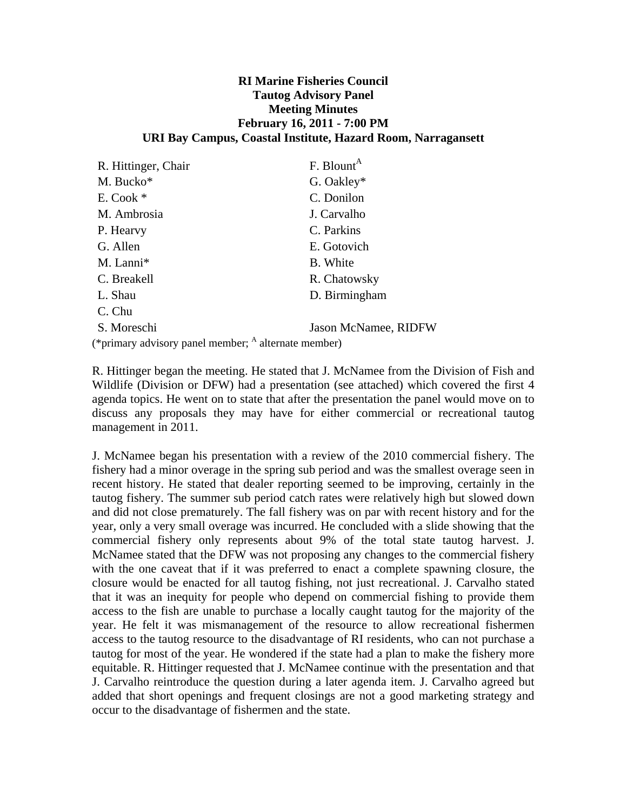#### **RI Marine Fisheries Council Tautog Advisory Panel Meeting Minutes February 16, 2011 - 7:00 PM URI Bay Campus, Coastal Institute, Hazard Room, Narragansett**

| R. Hittinger, Chair                                             | $F.$ Blount <sup>A</sup>    |  |
|-----------------------------------------------------------------|-----------------------------|--|
|                                                                 |                             |  |
| M. Bucko*                                                       | G. Oakley*                  |  |
| $E. \text{Cook}$ *                                              | C. Donilon                  |  |
| M. Ambrosia                                                     | J. Carvalho                 |  |
| P. Hearvy                                                       | C. Parkins                  |  |
| G. Allen                                                        | E. Gotovich                 |  |
| M. Lanni*                                                       | B. White                    |  |
| C. Breakell                                                     | R. Chatowsky                |  |
| L. Shau                                                         | D. Birmingham               |  |
| C. Chu                                                          |                             |  |
| S. Moreschi                                                     | <b>Jason McNamee, RIDFW</b> |  |
| (*primary advisory panel member; <sup>A</sup> alternate member) |                             |  |

R. Hittinger began the meeting. He stated that J. McNamee from the Division of Fish and Wildlife (Division or DFW) had a presentation (see attached) which covered the first 4 agenda topics. He went on to state that after the presentation the panel would move on to discuss any proposals they may have for either commercial or recreational tautog management in 2011.

J. McNamee began his presentation with a review of the 2010 commercial fishery. The fishery had a minor overage in the spring sub period and was the smallest overage seen in recent history. He stated that dealer reporting seemed to be improving, certainly in the tautog fishery. The summer sub period catch rates were relatively high but slowed down and did not close prematurely. The fall fishery was on par with recent history and for the year, only a very small overage was incurred. He concluded with a slide showing that the commercial fishery only represents about 9% of the total state tautog harvest. J. McNamee stated that the DFW was not proposing any changes to the commercial fishery with the one caveat that if it was preferred to enact a complete spawning closure, the closure would be enacted for all tautog fishing, not just recreational. J. Carvalho stated that it was an inequity for people who depend on commercial fishing to provide them access to the fish are unable to purchase a locally caught tautog for the majority of the year. He felt it was mismanagement of the resource to allow recreational fishermen access to the tautog resource to the disadvantage of RI residents, who can not purchase a tautog for most of the year. He wondered if the state had a plan to make the fishery more equitable. R. Hittinger requested that J. McNamee continue with the presentation and that J. Carvalho reintroduce the question during a later agenda item. J. Carvalho agreed but added that short openings and frequent closings are not a good marketing strategy and occur to the disadvantage of fishermen and the state.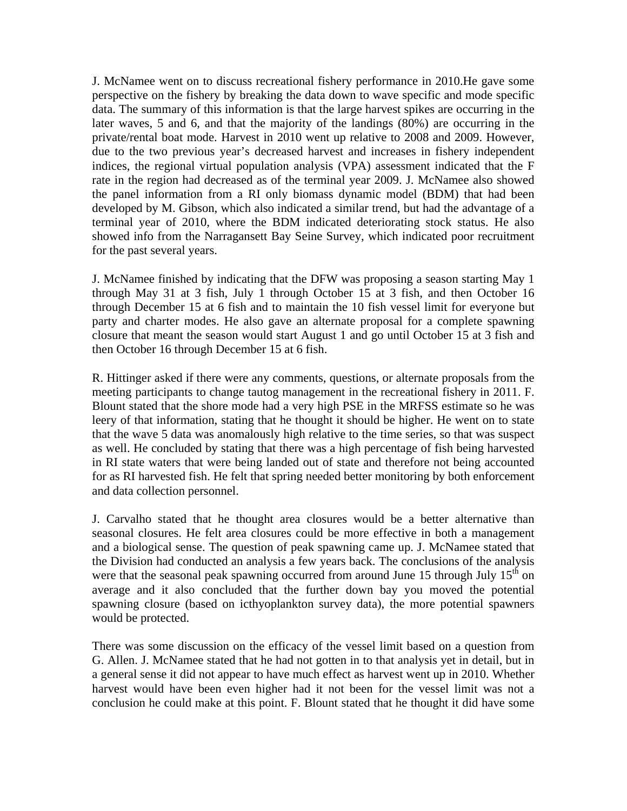J. McNamee went on to discuss recreational fishery performance in 2010.He gave some perspective on the fishery by breaking the data down to wave specific and mode specific data. The summary of this information is that the large harvest spikes are occurring in the later waves, 5 and 6, and that the majority of the landings (80%) are occurring in the private/rental boat mode. Harvest in 2010 went up relative to 2008 and 2009. However, due to the two previous year's decreased harvest and increases in fishery independent indices, the regional virtual population analysis (VPA) assessment indicated that the F rate in the region had decreased as of the terminal year 2009. J. McNamee also showed the panel information from a RI only biomass dynamic model (BDM) that had been developed by M. Gibson, which also indicated a similar trend, but had the advantage of a terminal year of 2010, where the BDM indicated deteriorating stock status. He also showed info from the Narragansett Bay Seine Survey, which indicated poor recruitment for the past several years.

J. McNamee finished by indicating that the DFW was proposing a season starting May 1 through May 31 at 3 fish, July 1 through October 15 at 3 fish, and then October 16 through December 15 at 6 fish and to maintain the 10 fish vessel limit for everyone but party and charter modes. He also gave an alternate proposal for a complete spawning closure that meant the season would start August 1 and go until October 15 at 3 fish and then October 16 through December 15 at 6 fish.

R. Hittinger asked if there were any comments, questions, or alternate proposals from the meeting participants to change tautog management in the recreational fishery in 2011. F. Blount stated that the shore mode had a very high PSE in the MRFSS estimate so he was leery of that information, stating that he thought it should be higher. He went on to state that the wave 5 data was anomalously high relative to the time series, so that was suspect as well. He concluded by stating that there was a high percentage of fish being harvested in RI state waters that were being landed out of state and therefore not being accounted for as RI harvested fish. He felt that spring needed better monitoring by both enforcement and data collection personnel.

J. Carvalho stated that he thought area closures would be a better alternative than seasonal closures. He felt area closures could be more effective in both a management and a biological sense. The question of peak spawning came up. J. McNamee stated that the Division had conducted an analysis a few years back. The conclusions of the analysis were that the seasonal peak spawning occurred from around June 15 through July  $15<sup>th</sup>$  on average and it also concluded that the further down bay you moved the potential spawning closure (based on icthyoplankton survey data), the more potential spawners would be protected.

There was some discussion on the efficacy of the vessel limit based on a question from G. Allen. J. McNamee stated that he had not gotten in to that analysis yet in detail, but in a general sense it did not appear to have much effect as harvest went up in 2010. Whether harvest would have been even higher had it not been for the vessel limit was not a conclusion he could make at this point. F. Blount stated that he thought it did have some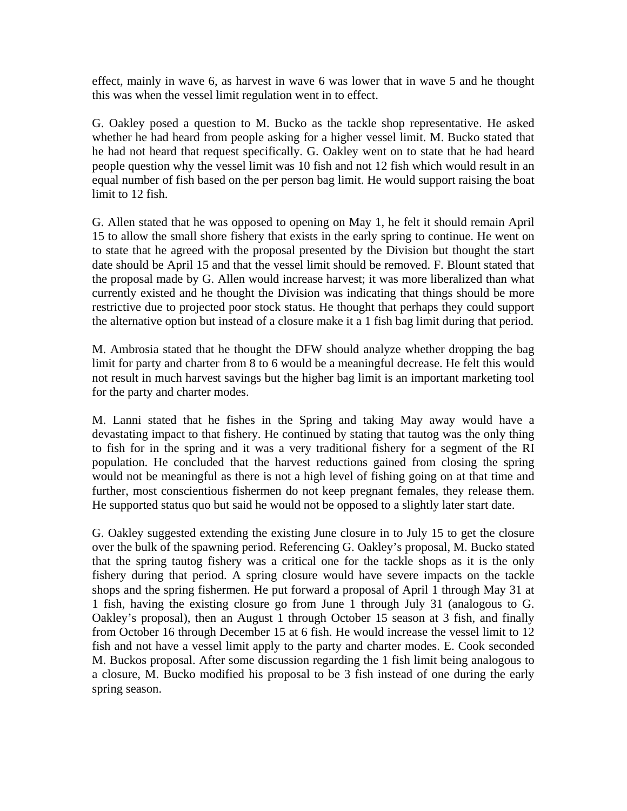effect, mainly in wave 6, as harvest in wave 6 was lower that in wave 5 and he thought this was when the vessel limit regulation went in to effect.

G. Oakley posed a question to M. Bucko as the tackle shop representative. He asked whether he had heard from people asking for a higher vessel limit. M. Bucko stated that he had not heard that request specifically. G. Oakley went on to state that he had heard people question why the vessel limit was 10 fish and not 12 fish which would result in an equal number of fish based on the per person bag limit. He would support raising the boat limit to 12 fish.

G. Allen stated that he was opposed to opening on May 1, he felt it should remain April 15 to allow the small shore fishery that exists in the early spring to continue. He went on to state that he agreed with the proposal presented by the Division but thought the start date should be April 15 and that the vessel limit should be removed. F. Blount stated that the proposal made by G. Allen would increase harvest; it was more liberalized than what currently existed and he thought the Division was indicating that things should be more restrictive due to projected poor stock status. He thought that perhaps they could support the alternative option but instead of a closure make it a 1 fish bag limit during that period.

M. Ambrosia stated that he thought the DFW should analyze whether dropping the bag limit for party and charter from 8 to 6 would be a meaningful decrease. He felt this would not result in much harvest savings but the higher bag limit is an important marketing tool for the party and charter modes.

M. Lanni stated that he fishes in the Spring and taking May away would have a devastating impact to that fishery. He continued by stating that tautog was the only thing to fish for in the spring and it was a very traditional fishery for a segment of the RI population. He concluded that the harvest reductions gained from closing the spring would not be meaningful as there is not a high level of fishing going on at that time and further, most conscientious fishermen do not keep pregnant females, they release them. He supported status quo but said he would not be opposed to a slightly later start date.

G. Oakley suggested extending the existing June closure in to July 15 to get the closure over the bulk of the spawning period. Referencing G. Oakley's proposal, M. Bucko stated that the spring tautog fishery was a critical one for the tackle shops as it is the only fishery during that period. A spring closure would have severe impacts on the tackle shops and the spring fishermen. He put forward a proposal of April 1 through May 31 at 1 fish, having the existing closure go from June 1 through July 31 (analogous to G. Oakley's proposal), then an August 1 through October 15 season at 3 fish, and finally from October 16 through December 15 at 6 fish. He would increase the vessel limit to 12 fish and not have a vessel limit apply to the party and charter modes. E. Cook seconded M. Buckos proposal. After some discussion regarding the 1 fish limit being analogous to a closure, M. Bucko modified his proposal to be 3 fish instead of one during the early spring season.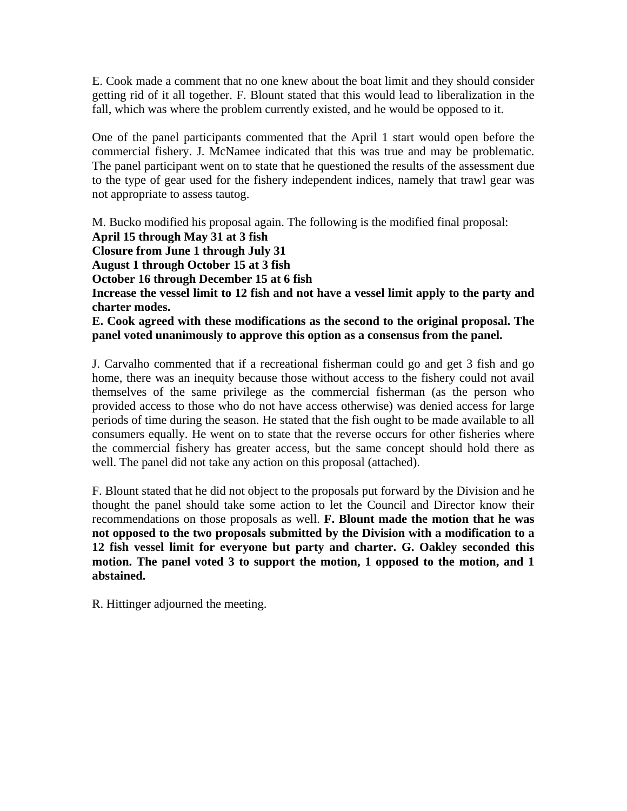E. Cook made a comment that no one knew about the boat limit and they should consider getting rid of it all together. F. Blount stated that this would lead to liberalization in the fall, which was where the problem currently existed, and he would be opposed to it.

One of the panel participants commented that the April 1 start would open before the commercial fishery. J. McNamee indicated that this was true and may be problematic. The panel participant went on to state that he questioned the results of the assessment due to the type of gear used for the fishery independent indices, namely that trawl gear was not appropriate to assess tautog.

M. Bucko modified his proposal again. The following is the modified final proposal: **April 15 through May 31 at 3 fish Closure from June 1 through July 31 August 1 through October 15 at 3 fish October 16 through December 15 at 6 fish Increase the vessel limit to 12 fish and not have a vessel limit apply to the party and** 

**charter modes. E. Cook agreed with these modifications as the second to the original proposal. The** 

#### **panel voted unanimously to approve this option as a consensus from the panel.**

J. Carvalho commented that if a recreational fisherman could go and get 3 fish and go home, there was an inequity because those without access to the fishery could not avail themselves of the same privilege as the commercial fisherman (as the person who provided access to those who do not have access otherwise) was denied access for large periods of time during the season. He stated that the fish ought to be made available to all consumers equally. He went on to state that the reverse occurs for other fisheries where the commercial fishery has greater access, but the same concept should hold there as well. The panel did not take any action on this proposal (attached).

F. Blount stated that he did not object to the proposals put forward by the Division and he thought the panel should take some action to let the Council and Director know their recommendations on those proposals as well. **F. Blount made the motion that he was not opposed to the two proposals submitted by the Division with a modification to a 12 fish vessel limit for everyone but party and charter. G. Oakley seconded this motion. The panel voted 3 to support the motion, 1 opposed to the motion, and 1 abstained.**

R. Hittinger adjourned the meeting.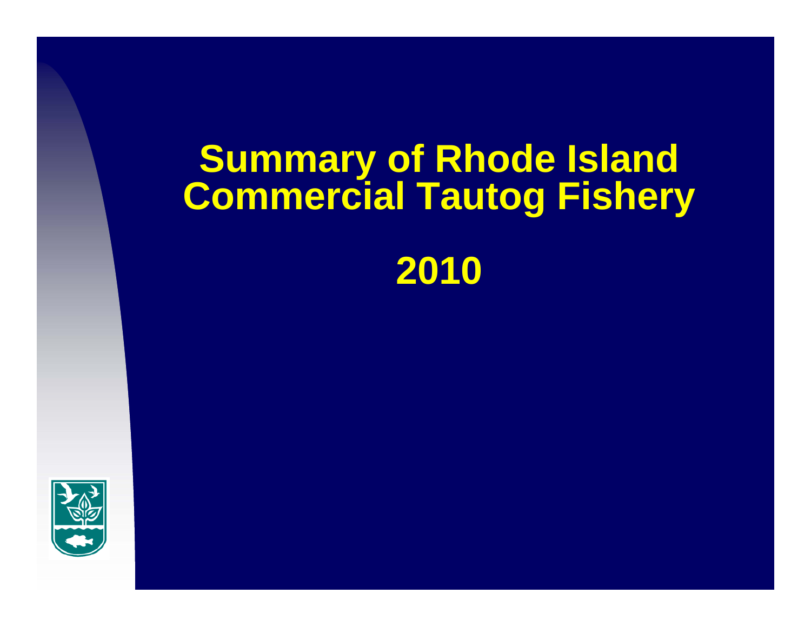# **Summary of Rhode Island Commercial Tautog Fishery**

# **2010**

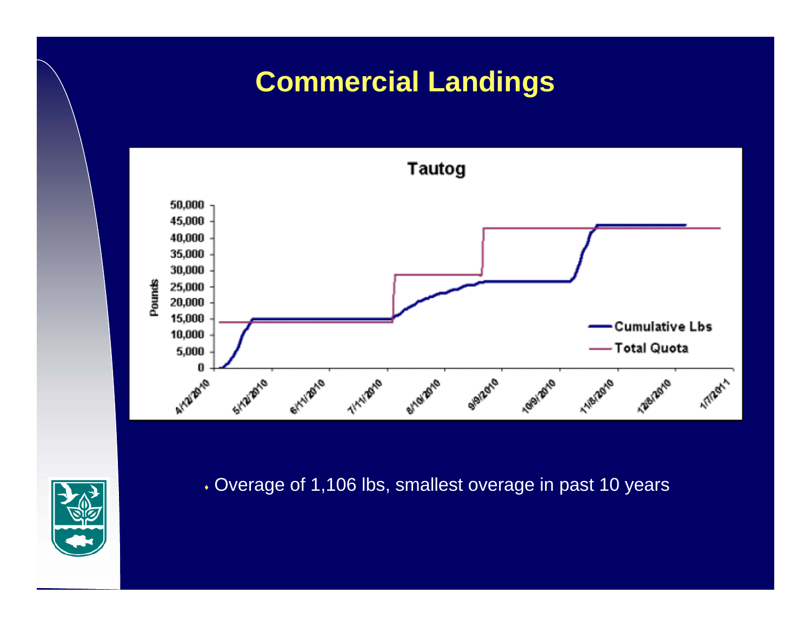## **Commercial Landings**





Overage of 1,106 lbs, smallest overage in past 10 years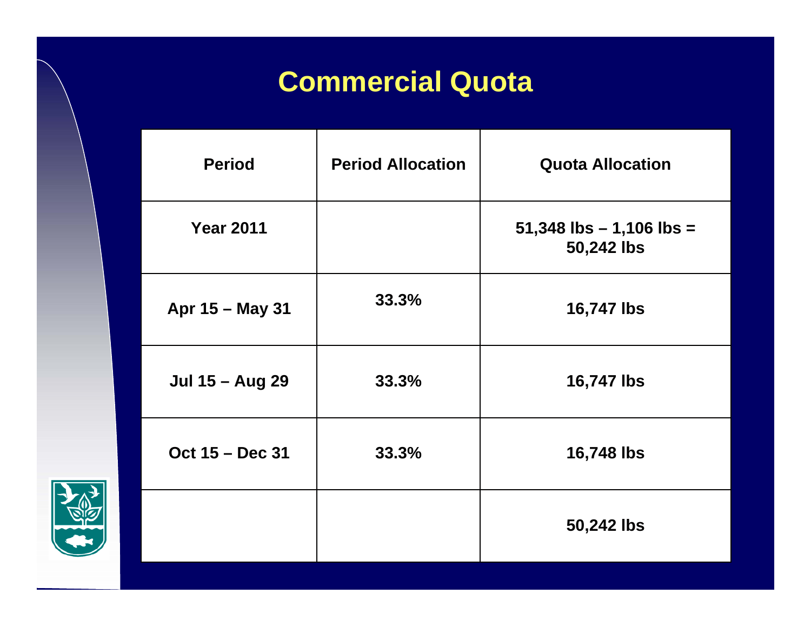## **Commercial Quota**

| <b>Period</b>          | <b>Period Allocation</b> | <b>Quota Allocation</b>                      |
|------------------------|--------------------------|----------------------------------------------|
| <b>Year 2011</b>       |                          | $51,348$ lbs $- 1,106$ lbs $=$<br>50,242 lbs |
| Apr 15 - May 31        | 33.3%                    | 16,747 lbs                                   |
| <b>Jul 15 - Aug 29</b> | 33.3%                    | 16,747 lbs                                   |
| Oct 15 - Dec 31        | 33.3%                    | 16,748 lbs                                   |
|                        |                          | 50,242 lbs                                   |

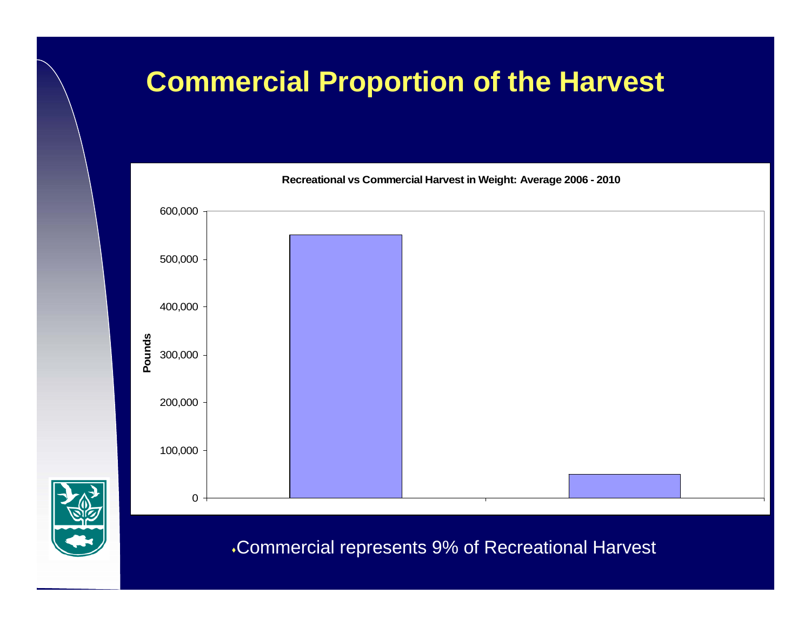## **Commercial Proportion of the Harvest**



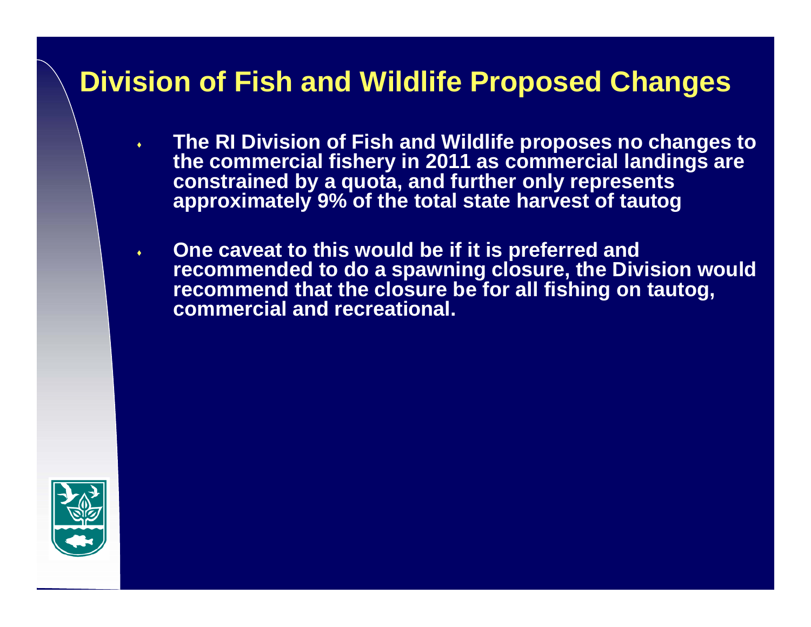#### **Division of Fish and Wildlife Proposed Changes**

- ٠ **The RI Division of Fish and Wildlife proposes no changes to the commercial fishery in 2011 as commercial landings are constrained by a quota, and further only represents approximately 9% of the total state harvest of tautog**
- $\blacklozenge$  **One caveat to this would be if it is preferred and recommended to do a spawning closure, the Division would recommend that the closure be for all fishing on tautog, commercial and recreational.**

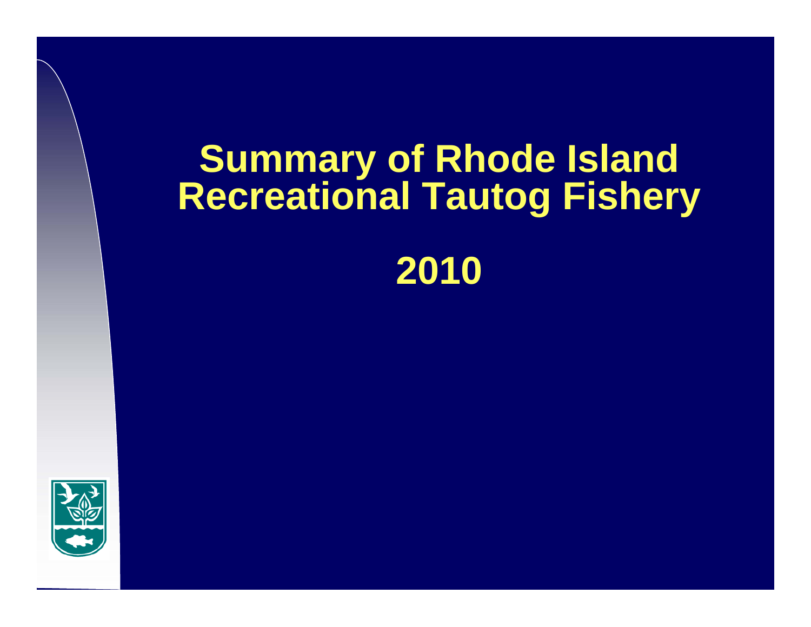# **Summary of Rhode Island Recreational Tautog Fishery**

# **2010**

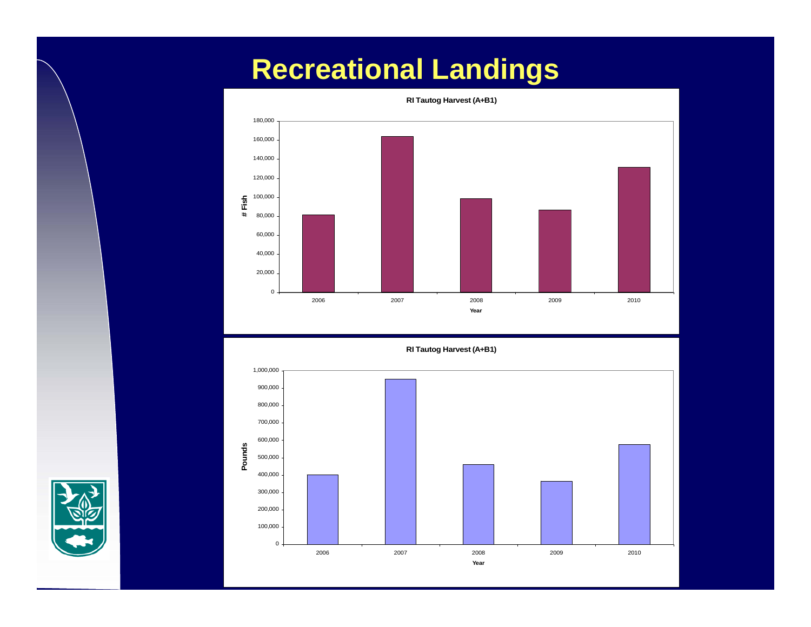## **Recreational Landings**





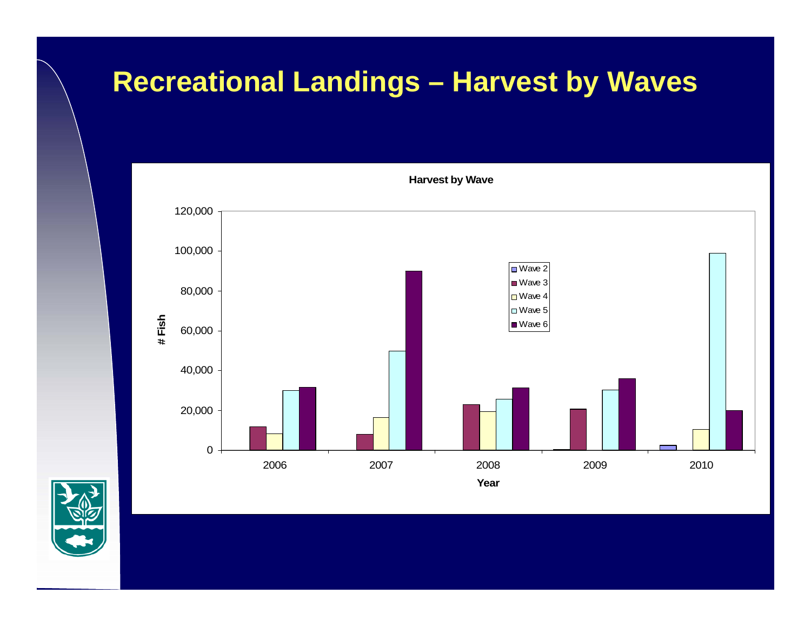### **Recreational Landings – Harvest by Waves**



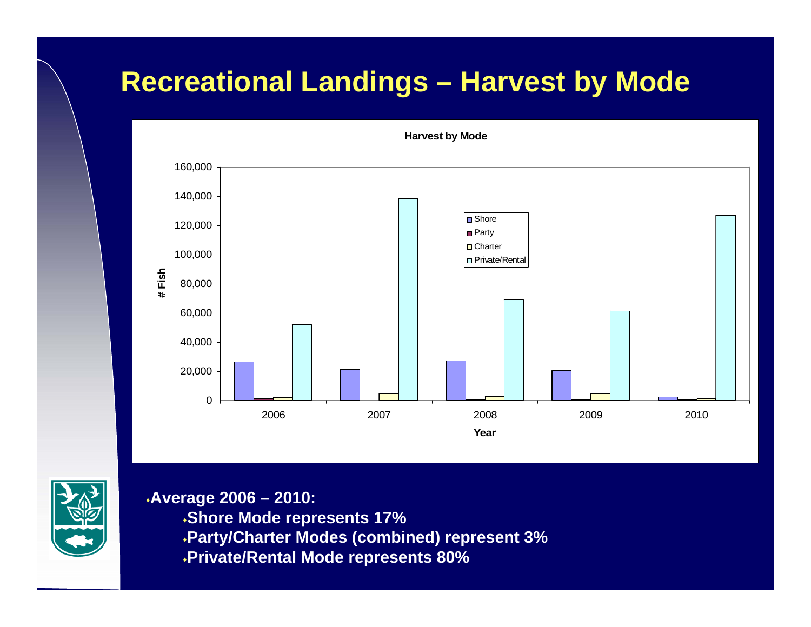### **Recreational Landings – Harvest by Mode**



**Average 2006 – 2010:**

**Shore Mode represents 17%**

**Party/Charter Modes (combined) represent 3%**

**Private/Rental Mode represents 80%**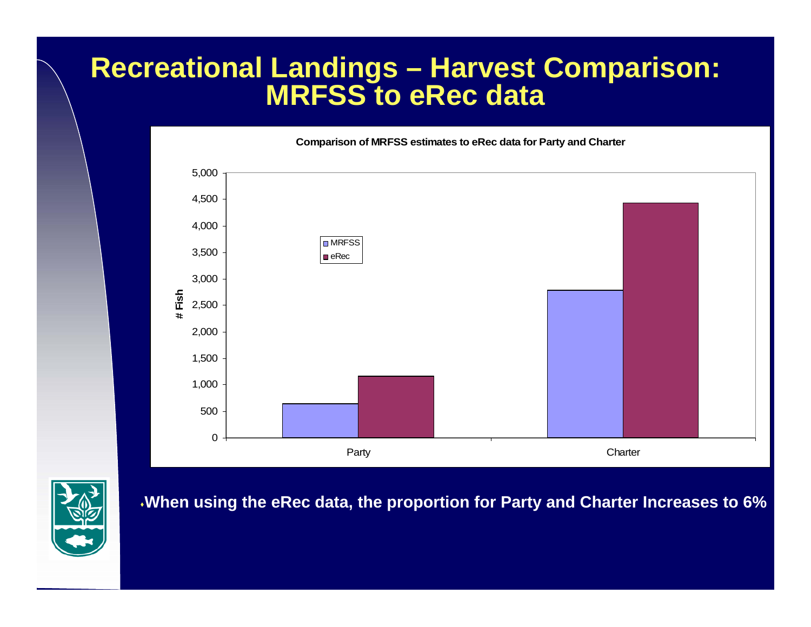#### **Recreational Landings – Harvest Comparison: MRFSS to eRec data**

**Comparison of MRFSS estimates to eRec data for Party and Charter**





**When using the eRec data, the proportion for Party and Charter Increases to 6%**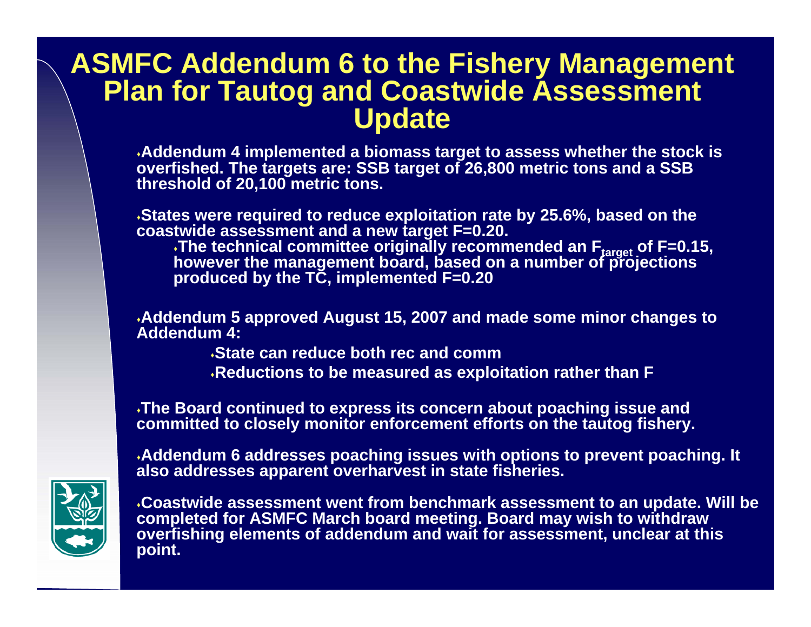#### **ASMFC Addendum 6 to the Fishery Management Plan for Tautog and Coastwide Assessment Update**

**Addendum 4 implemented a biomass target to assess whether the stock is overfished. The targets are: SSB target of 26,800 metric tons and a SSB threshold of 20,100 metric tons.** 

**States were required to reduce exploitation rate by 25.6%, based on the coastwide assessment and a new target F=0.20.** The technical committee originally recommended an F<sub>target</sub> of F=0.15, however the management board, based on a number of projections **produced by the TC, implemented F=0.20**

**Addendum 5 approved August 15, 2007 and made some minor changes to Addendum 4:**

**State can reduce both rec and comm**

**Reductions to be measured as exploitation rather than F**

**The Board continued to express its concern about poaching issue and committed to closely monitor enforcement efforts on the tautog fishery.** 

**Addendum 6 addresses poaching issues with options to prevent poaching. It also addresses apparent overharvest in state fisheries.**



**Coastwide assessment went from benchmark assessment to an update. Will be completed for ASMFC March board meeting. Board may wish to withdraw overfishing elements of addendum and wait for assessment, unclear at this point.**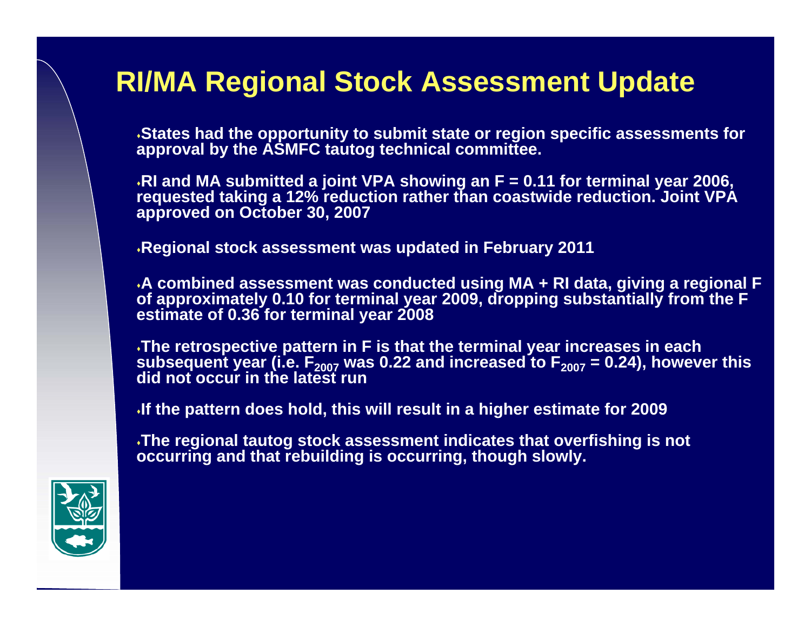**States had the opportunity to submit state or region specific assessments for approval by the ASMFC tautog technical committee.**

**RI and MA submitted a joint VPA showing an F = 0.11 for terminal year 2006, requested taking a 12% reduction rather than coastwide reduction. Joint VPA approved on October 30, 2007**

**Regional stock assessment was updated in February 2011**

**A combined assessment was conducted using MA + RI data, giving a regional F of approximately 0.10 for terminal year 2009, dropping substantially from the F estimate of 0.36 for terminal year 2008**

**The retrospective pattern in F is that the terminal year increases in each**  subsequent year (i.e. F<sub>2007</sub> was 0.22 and increased to F<sub>2007</sub> = 0.24), however this<br>did not occur in the latest run

**If the pattern does hold, this will result in a higher estimate for 2009**

**The regional tautog stock assessment indicates that overfishing is not occurring and that rebuilding is occurring, though slowly.**

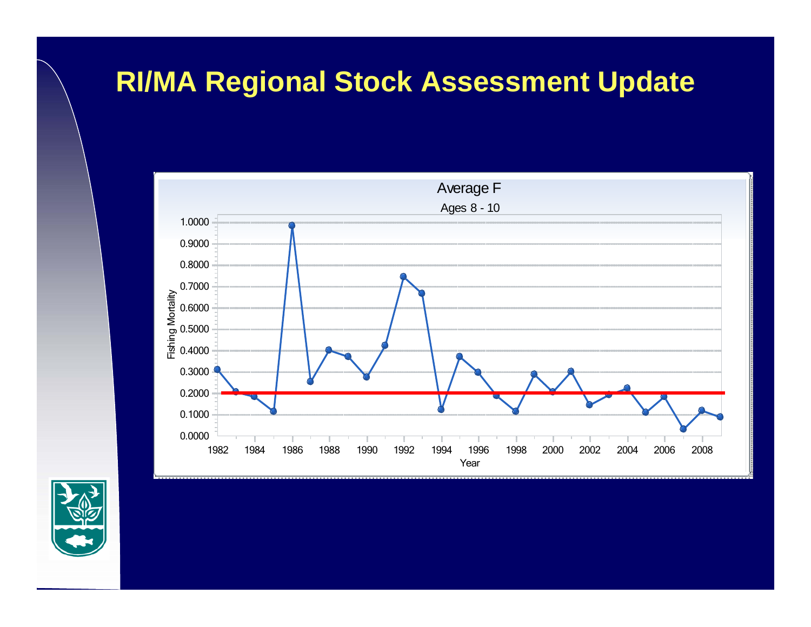

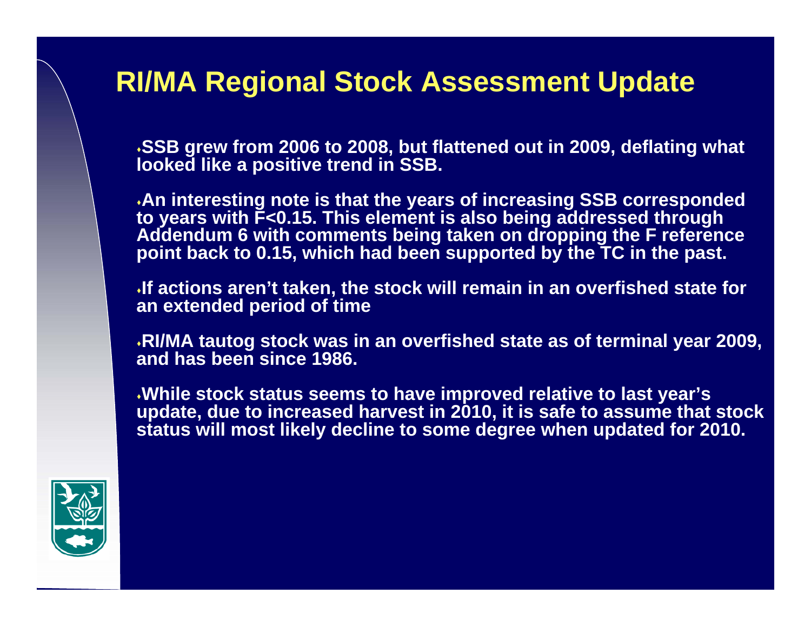**SSB grew from 2006 to 2008, but flattened out in 2009, deflating what looked like a positive trend in SSB.** 

**An interesting note is that the years of increasing SSB corresponded to years with F<0.15. This element is also being addressed through Addendum 6 with comments being taken on dropping the F reference point back to 0.15, which had been supported by the TC in the past.** 

**If actions aren't taken, the stock will remain in an overfished state for an extended period of time**

**RI/MA tautog stock was in an overfished state as of terminal year 2009, and has been since 1986.**

**While stock status seems to have improved relative to last year's update, due to increased harvest in 2010, it is safe to assume that stock status will most likely decline to some degree when updated for 2010.**

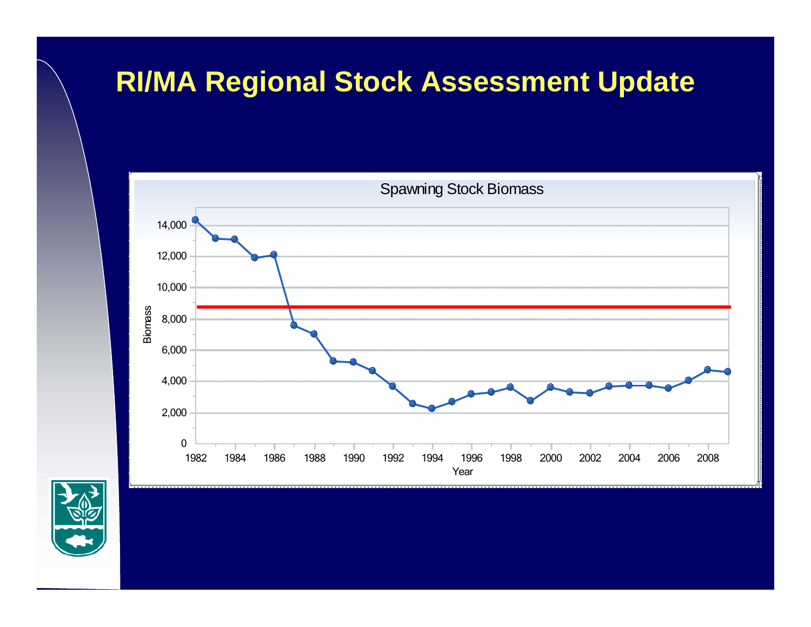

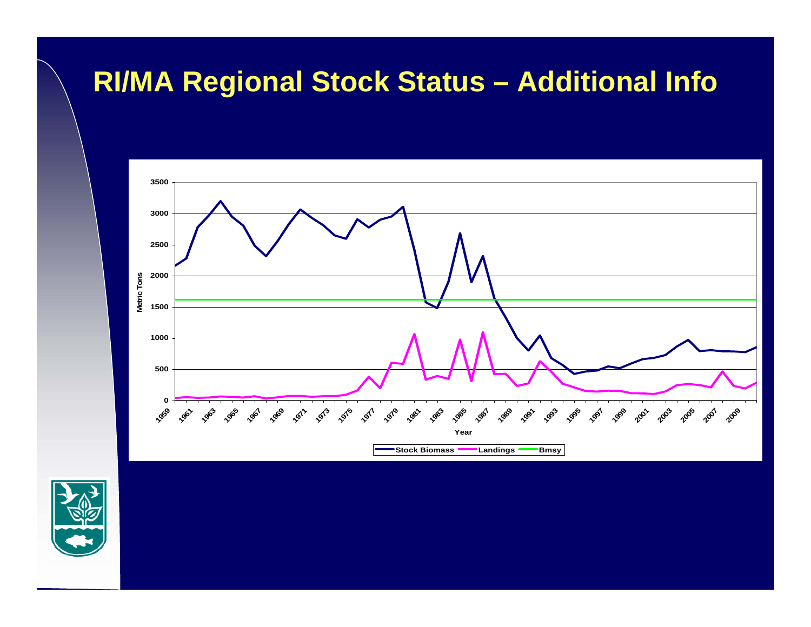#### **RI/MA Regional Stock Status – Additional Info**



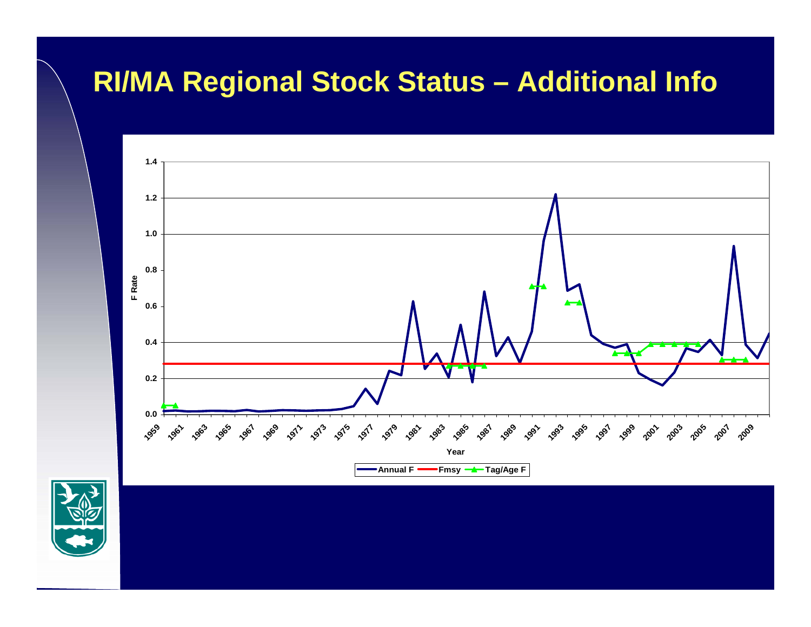#### **RI/MA Regional Stock Status – Additional Info**



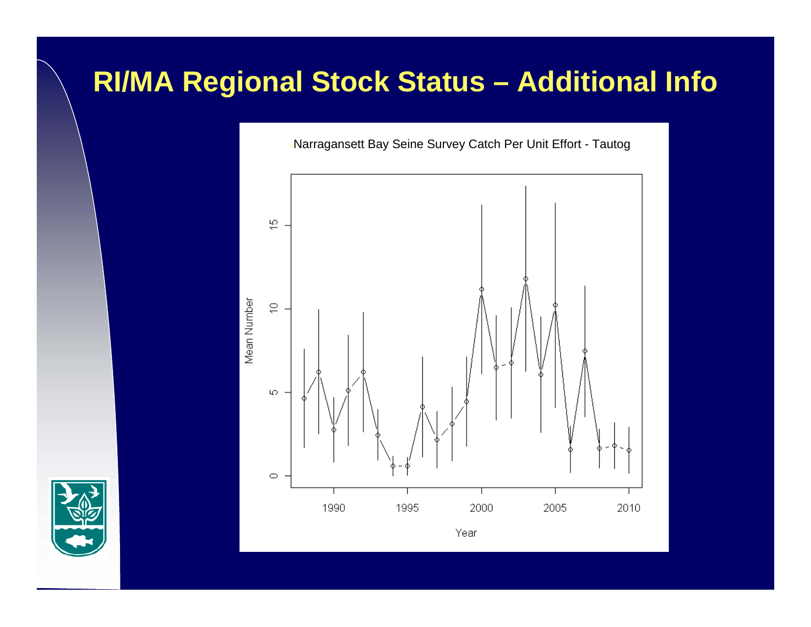#### **RI/MA Regional Stock Status – Additional Info**



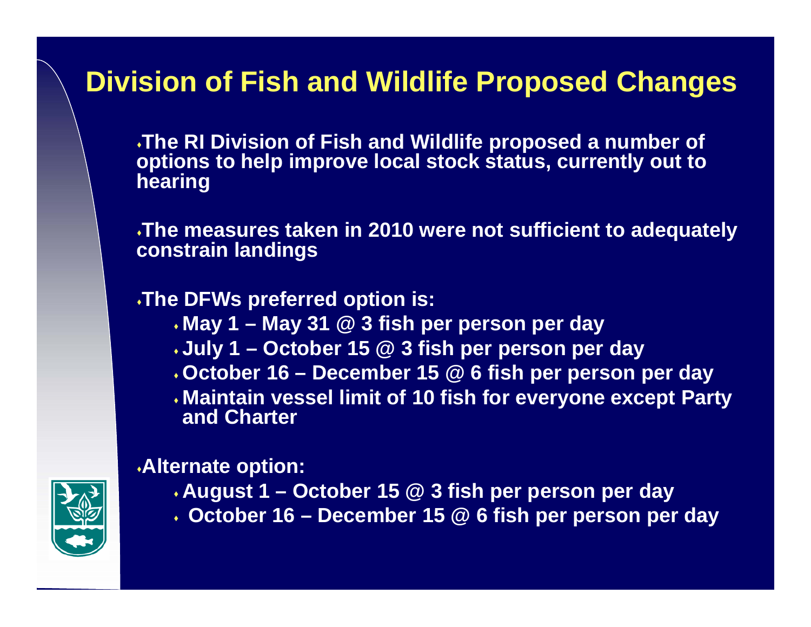#### **Division of Fish and Wildlife Proposed Changes**

**The RI Division of Fish and Wildlife proposed a number of options to help improve local stock status, currently out to hearing**

**The measures taken in 2010 were not sufficient to adequately constrain landings**

#### **The DFWs preferred option is:**

- **May 1 – May 31 @ 3 fish per person per day**
- **July 1 – October 15 @ 3 fish per person per day**
- **October 16 – December 15 @ 6 fish per person per day**
- **Maintain vessel limit of 10 fish for everyone except Party and Charter**

#### **Alternate option:**

- **August 1 – October 15 @ 3 fish per person per day**
- **October 16 – December 15 @ 6 fish per person per day**